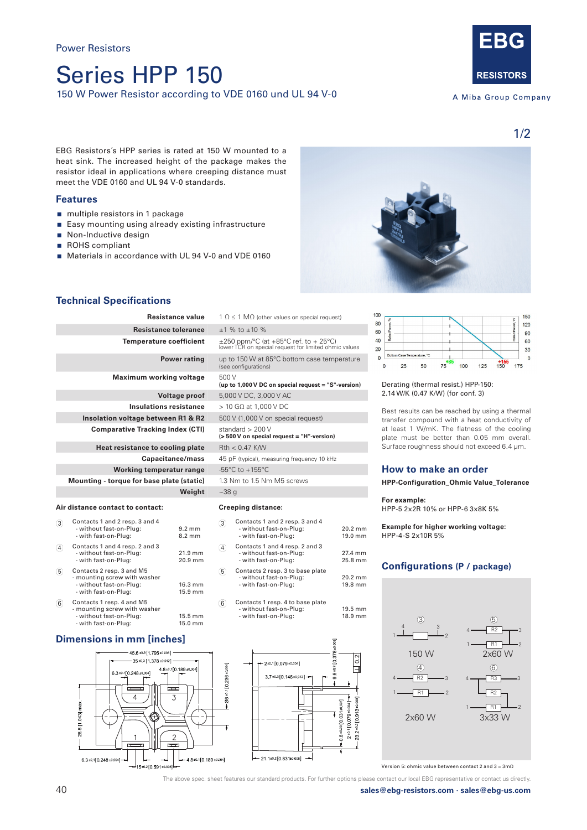# Series HPP 150 150 W Power Resistor according to VDE 0160 und UL 94 V-0



A Miba Group Company

EBG Resistors´s HPP series is rated at 150 W mounted to a heat sink. The increased height of the package makes the resistor ideal in applications where creeping distance must meet the VDE 0160 and UL 94 V-0 standards.

# **Features**

- multiple resistors in 1 package
- Easy mounting using already existing infrastructure
- Non-Inductive design
- ROHS compliant
- Materials in accordance with UL 94 V-0 and VDE 0160



# **Technical Specifications**

| Resistance value                          | $1 \Omega \le 1 \text{ M}\Omega$ (other values on special request)                      |
|-------------------------------------------|-----------------------------------------------------------------------------------------|
| <b>Resistance tolerance</b>               | $±1$ % to $±10$ %                                                                       |
| Temperature coefficient                   | ±250 ppm/°C (at +85°C ref. to + 25°C)<br>lower TCR on special request for limited ohmic |
| <b>Power rating</b>                       | up to 150 W at 85°C bottom case tempe<br>(see configurations)                           |
| Maximum working voltage                   | 500 V<br>(up to 1,000 V DC on special request = $"S"$ -v                                |
| <b>Voltage proof</b>                      | 5,000 V DC, 3,000 V AC                                                                  |
| <b>Insulations resistance</b>             | $>$ 10 G $\Omega$ at 1,000 V DC                                                         |
| Insolation voltage between R1 & R2        | 500 V (1,000 V on special request)                                                      |
| <b>Comparative Tracking Index (CTI)</b>   | standard $> 200 V$<br>(> 500 V on special request = "H"-version)                        |
| Heat resistance to cooling plate          | $Rth < 0.47$ K/W                                                                        |
| Capacitance/mass                          | 45 pF (typical), measuring frequency 10 kHz                                             |
| Working temperatur range                  | $-55^{\circ}$ C to $+155^{\circ}$ C                                                     |
| Mounting - torque for base plate (static) | 1.3 Nm to 1.5 Nm M5 screws                                                              |
| Weight                                    | $~238$ q                                                                                |

#### **Air distance contact to contact:**

|   | Contacts 1 and 2 resp. 3 and 4<br>- without fast-on-Plug:<br>- with fast-on-Plug:                            | $9.2 \text{ mm}$<br>$8.2 \text{ mm}$ |
|---|--------------------------------------------------------------------------------------------------------------|--------------------------------------|
|   | Contacts 1 and 4 resp. 2 and 3<br>- without fast-on-Plug:<br>- with fast-on-Plug:                            | 21.9 mm<br>20.9 mm                   |
| 5 | Contacts 2 resp. 3 and M5<br>- mounting screw with washer<br>- without fast-on-Plug:<br>- with fast-on-Plug: | 16.3 mm<br>15.9 mm                   |
|   |                                                                                                              |                                      |

| 6 | Contacts 1 resp. 4 and M5    |                   |
|---|------------------------------|-------------------|
|   | - mounting screw with washer |                   |
|   | - without fast-on-Plug:      | $15.5 \text{ mm}$ |
|   | - with fast-on-Plug:         | 15.0 mm           |
|   |                              |                   |

# **Dimensions in mm [inches]**



| sistance tolerance   | $±1$ % to $±10$ %                                                                                   |
|----------------------|-----------------------------------------------------------------------------------------------------|
| erature coefficient  | $\pm 250$ ppm/°C (at +85°C ref. to + 25°C)<br>lower TCR on special request for limited ohmic values |
| <b>Power rating</b>  | up to 150 W at 85°C bottom case temperature<br>(see configurations)                                 |
| m working voltage    | 500 V<br>(up to 1,000 V DC on special request = "S"-version)                                        |
| <b>Voltage proof</b> | 5,000 V DC, 3,000 V AC                                                                              |
| ulations resistance  | $>$ 10 G $\Omega$ at 1,000 V DC                                                                     |
| e between R1 & R2    | 500 V (1,000 V on special request)                                                                  |
| racking Index (CTI)  | standard $> 200V$<br>(> 500 V on special request = "H"-version)                                     |
| ce to cooling plate  | $Rth < 0.47$ K/W                                                                                    |
| Capacitance/mass     | 45 pF (typical), measuring frequency 10 kHz                                                         |
| temperatur range     | -55 $^{\circ}$ C to +155 $^{\circ}$ C                                                               |

### **Creeping distance:**

| 3         | Contacts 1 and 2 resp. 3 and 4<br>- without fast-on-Plug:<br>- with fast-on-Plug: |  |
|-----------|-----------------------------------------------------------------------------------|--|
| $\lambda$ | Contacts 1 and 4 resp. 2 and 3                                                    |  |

- $\overline{4}$  - without fast-on-Plug: 27.4 mm - with fast-on-Plug:
- Contacts 2 resp. 3 to base plate  $\sqrt{5}$ - without fast-on-Plug: 20.2 mm<br>- with fast-on-Plug: 20.2 mm<br>- with fast-on-Plug: 19.8 mm - with fast-on-Plug:
- $\binom{6}{ }$ Contacts 1 resp. 4 to base plate - without fast-on-Plug: 19.5 mm - with fast-on-Plug: 18.9 mm





Derating (thermal resist.) HPP-150: 2.14 W/K (0.47 K/W) (for conf. 3)

Best results can be reached by using a thermal transfer compound with a heat conductivity of at least 1 W/mK. The flatness of the cooling plate must be better than 0.05 mm overall. Surface roughness should not exceed 6.4 μm.

# **How to make an order**

**HPP-Configuration\_Ohmic Value\_Tolerance**

### **For example:**

 $20.2$  mm  $19.0$  mm HPP-5 2x2R 10% or HPP-6 3x8K 5%

**Example for higher working voltage:** HPP-4-S 2x10R 5%

# **Configurations (P / package)**



Version 5: ohmic value between contact 2 and 3 = 3mΩ

The above spec. sheet features our standard products. For further options please contact our local EBG representative or contact us directly.